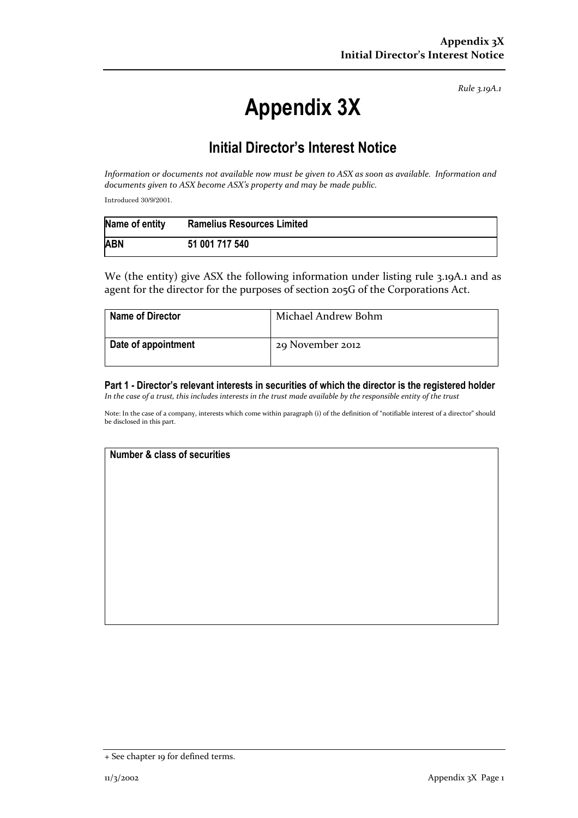Rule 3.19A.1

# Appendix 3X

# Initial Director's Interest Notice

Information or documents not available now must be given to ASX as soon as available. Information and documents given to ASX become ASX's property and may be made public.

Introduced 30/9/2001.

| Name of entity | <b>Ramelius Resources Limited</b> |
|----------------|-----------------------------------|
| <b>ABN</b>     | 51 001 717 540                    |

We (the entity) give ASX the following information under listing rule 3.19A.1 and as agent for the director for the purposes of section 205G of the Corporations Act.

| <b>Name of Director</b> | Michael Andrew Bohm |
|-------------------------|---------------------|
| Date of appointment     | 29 November 2012    |

Part 1 - Director's relevant interests in securities of which the director is the registered holder In the case of a trust, this includes interests in the trust made available by the responsible entity of the trust

Note: In the case of a company, interests which come within paragraph (i) of the definition of "notifiable interest of a director" should be disclosed in this part.

## Number & class of securities

<sup>+</sup> See chapter 19 for defined terms.